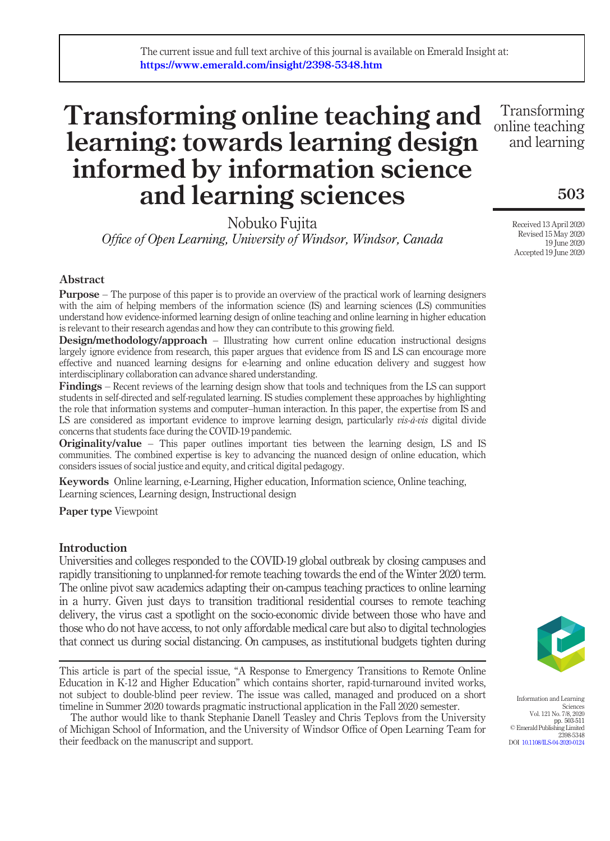# Transforming online teaching and learning: towards learning design informed by information science and learning sciences online teaching

Nobuko Fujita Office of Open Learning, University of Windsor, Windsor, Canada

Abstract

**Purpose** – The purpose of this paper is to provide an overview of the practical work of learning designers with the aim of helping members of the information science (IS) and learning sciences (LS) communities understand how evidence-informed learning design of online teaching and online learning in higher education is relevant to their research agendas and how they can contribute to this growing field.

**Design/methodology/approach** – Illustrating how current online education instructional designs largely ignore evidence from research, this paper argues that evidence from IS and LS can encourage more effective and nuanced learning designs for e-learning and online education delivery and suggest how interdisciplinary collaboration can advance shared understanding.

Findings – Recent reviews of the learning design show that tools and techniques from the LS can support students in self-directed and self-regulated learning. IS studies complement these approaches by highlighting the role that information systems and computer–human interaction. In this paper, the expertise from IS and LS are considered as important evidence to improve learning design, particularly *vis-à-vis* digital divide concerns that students face during the COVID-19 pandemic.

Originality/value – This paper outlines important ties between the learning design, LS and IS communities. The combined expertise is key to advancing the nuanced design of online education, which considers issues of social justice and equity, and critical digital pedagogy.

Keywords Online learning, e-Learning, Higher education, Information science, Online teaching, Learning sciences, Learning design, Instructional design

Paper type Viewpoint

# Introduction

Universities and colleges responded to the COVID-19 global outbreak by closing campuses and rapidly transitioning to unplanned-for remote teaching towards the end of the Winter 2020 term. The online pivot saw academics adapting their on-campus teaching practices to online learning in a hurry. Given just days to transition traditional residential courses to remote teaching delivery, the virus cast a spotlight on the socio-economic divide between those who have and those who do not have access, to not only affordable medical care but also to digital technologies that connect us during social distancing. On campuses, as institutional budgets tighten during

This article is part of the special issue, "A Response to Emergency Transitions to Remote Online Education in K-12 and Higher Education" which contains shorter, rapid-turnaround invited works, not subject to double-blind peer review. The issue was called, managed and produced on a short timeline in Summer 2020 towards pragmatic instructional application in the Fall 2020 semester.

The author would like to thank Stephanie Danell Teasley and Chris Teplovs from the University of Michigan School of Information, and the University of Windsor Office of Open Learning Team for their feedback on the manuscript and support.

Information and Learning

**Sciences** Vol. 121 No. 7/8, 2020 pp. 503-511 © Emerald Publishing Limited 2398-5348 DOI [10.1108/ILS-04-2020-0124](http://dx.doi.org/10.1108/ILS-04-2020-0124)

Received 13 April 2020 Revised 15 May 2020 19 June 2020 Accepted 19 June 2020

503

Transforming

and learning

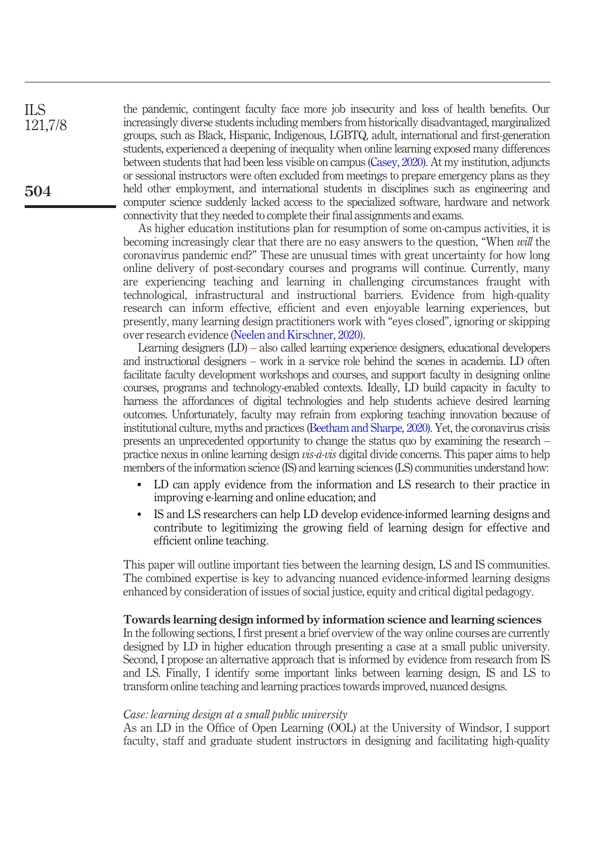the pandemic, contingent faculty face more job insecurity and loss of health benefits. Our increasingly diverse students including members from historically disadvantaged, marginalized groups, such as Black, Hispanic, Indigenous, LGBTQ, adult, international and first-generation students, experienced a deepening of inequality when online learning exposed many differences between students that had been less visible on campus [\(Casey, 2020](#page-7-0)). At my institution, adjuncts or sessional instructors were often excluded from meetings to prepare emergency plans as they held other employment, and international students in disciplines such as engineering and computer science suddenly lacked access to the specialized software, hardware and network connectivity that they needed to complete their final assignments and exams.

As higher education institutions plan for resumption of some on-campus activities, it is becoming increasingly clear that there are no easy answers to the question, "When will the coronavirus pandemic end?" These are unusual times with great uncertainty for how long online delivery of post-secondary courses and programs will continue. Currently, many are experiencing teaching and learning in challenging circumstances fraught with technological, infrastructural and instructional barriers. Evidence from high-quality research can inform effective, efficient and even enjoyable learning experiences, but presently, many learning design practitioners work with "eyes closed", ignoring or skipping over research evidence [\(Neelen and Kirschner, 2020](#page-8-0)).

Learning designers (LD) – also called learning experience designers, educational developers and instructional designers – work in a service role behind the scenes in academia. LD often facilitate faculty development workshops and courses, and support faculty in designing online courses, programs and technology-enabled contexts. Ideally, LD build capacity in faculty to harness the affordances of digital technologies and help students achieve desired learning outcomes. Unfortunately, faculty may refrain from exploring teaching innovation because of institutional culture, myths and practices [\(Beetham and Sharpe, 2020\)](#page-6-0). Yet, the coronavirus crisis presents an unprecedented opportunity to change the status quo by examining the research – practice nexus in online learning design vis-à-vis digital divide concerns. This paper aims to help members of the information science (IS) and learning sciences (LS) communities understand how:

- LD can apply evidence from the information and LS research to their practice in improving e-learning and online education; and
- IS and LS researchers can help LD develop evidence-informed learning designs and contribute to legitimizing the growing field of learning design for effective and efficient online teaching.

This paper will outline important ties between the learning design, LS and IS communities. The combined expertise is key to advancing nuanced evidence-informed learning designs enhanced by consideration of issues of social justice, equity and critical digital pedagogy.

# Towards learning design informed by information science and learning sciences

In the following sections, I first present a brief overview of the way online courses are currently designed by LD in higher education through presenting a case at a small public university. Second, I propose an alternative approach that is informed by evidence from research from IS and LS. Finally, I identify some important links between learning design, IS and LS to transform online teaching and learning practices towards improved, nuanced designs.

## Case: learning design at a small public university

As an LD in the Office of Open Learning (OOL) at the University of Windsor, I support faculty, staff and graduate student instructors in designing and facilitating high-quality

504

ILS 121,7/8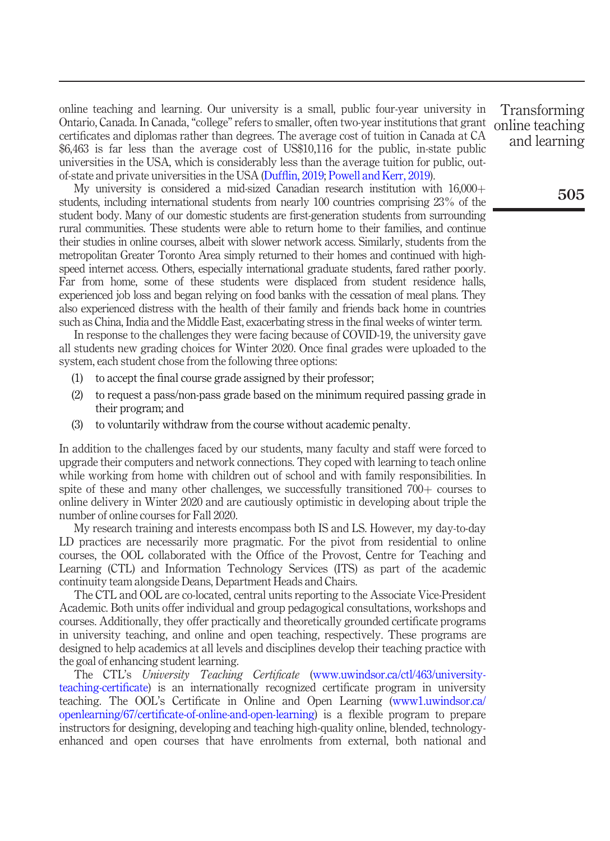online teaching and learning. Our university is a small, public four-year university in Ontario, Canada. In Canada,"college" refers to smaller, often two-year institutions that grant certificates and diplomas rather than degrees. The average cost of tuition in Canada at CA \$6,463 is far less than the average cost of US\$10,116 for the public, in-state public universities in the USA, which is considerably less than the average tuition for public, outof-state and private universities in the USA (Duffl[in, 2019](#page-7-1); [Powell and Kerr, 2019\)](#page-8-1).

My university is considered a mid-sized Canadian research institution with  $16,000+$ students, including international students from nearly 100 countries comprising 23% of the student body. Many of our domestic students are first-generation students from surrounding rural communities. These students were able to return home to their families, and continue their studies in online courses, albeit with slower network access. Similarly, students from the metropolitan Greater Toronto Area simply returned to their homes and continued with highspeed internet access. Others, especially international graduate students, fared rather poorly. Far from home, some of these students were displaced from student residence halls, experienced job loss and began relying on food banks with the cessation of meal plans. They also experienced distress with the health of their family and friends back home in countries such as China, India and the Middle East, exacerbating stress in the final weeks of winter term.

In response to the challenges they were facing because of COVID-19, the university gave all students new grading choices for Winter 2020. Once final grades were uploaded to the system, each student chose from the following three options:

- (1) to accept the final course grade assigned by their professor;
- (2) to request a pass/non-pass grade based on the minimum required passing grade in their program; and
- (3) to voluntarily withdraw from the course without academic penalty.

In addition to the challenges faced by our students, many faculty and staff were forced to upgrade their computers and network connections. They coped with learning to teach online while working from home with children out of school and with family responsibilities. In spite of these and many other challenges, we successfully transitioned  $700<sub>+</sub>$  courses to online delivery in Winter 2020 and are cautiously optimistic in developing about triple the number of online courses for Fall 2020.

My research training and interests encompass both IS and LS. However, my day-to-day LD practices are necessarily more pragmatic. For the pivot from residential to online courses, the OOL collaborated with the Office of the Provost, Centre for Teaching and Learning (CTL) and Information Technology Services (ITS) as part of the academic continuity team alongside Deans, Department Heads and Chairs.

The CTL and OOL are co-located, central units reporting to the Associate Vice-President Academic. Both units offer individual and group pedagogical consultations, workshops and courses. Additionally, they offer practically and theoretically grounded certificate programs in university teaching, and online and open teaching, respectively. These programs are designed to help academics at all levels and disciplines develop their teaching practice with the goal of enhancing student learning.

The CTL's University Teaching Certificate [\(www.uwindsor.ca/ctl/463/university](http://www.uwindsor.ca/ctl/463/university-teaching-certificate)[teaching-certi](http://www.uwindsor.ca/ctl/463/university-teaching-certificate)ficate) is an internationally recognized certificate program in university teaching. The OOL's Certificate in Online and Open Learning ([www1.uwindsor.ca/](http://www1.uwindsor.ca/openlearning/67/certificate-of-online-and-open-learning) openlearning/67/certifi[cate-of-online-and-open-learning](http://www1.uwindsor.ca/openlearning/67/certificate-of-online-and-open-learning)) is a flexible program to prepare instructors for designing, developing and teaching high-quality online, blended, technologyenhanced and open courses that have enrolments from external, both national and

Transforming online teaching and learning

505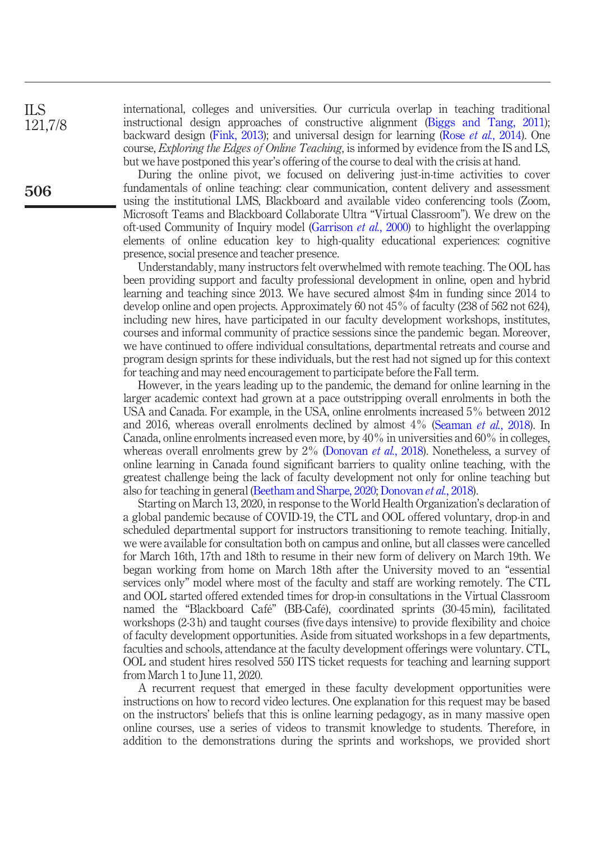international, colleges and universities. Our curricula overlap in teaching traditional instructional design approaches of constructive alignment [\(Biggs and Tang, 2011\)](#page-6-1); backward design [\(Fink, 2013\)](#page-7-2); and universal design for learning (Rose et al.[, 2014\)](#page-8-2). One course, Exploring the Edges of Online Teaching, is informed by evidence from the IS and LS, but we have postponed this year's offering of the course to deal with the crisis at hand.

During the online pivot, we focused on delivering just-in-time activities to cover fundamentals of online teaching: clear communication, content delivery and assessment using the institutional LMS, Blackboard and available video conferencing tools (Zoom, Microsoft Teams and Blackboard Collaborate Ultra "Virtual Classroom"). We drew on the oft-used Community of Inquiry model [\(Garrison](#page-7-3) et al., 2000) to highlight the overlapping elements of online education key to high-quality educational experiences: cognitive presence, social presence and teacher presence.

Understandably, many instructors felt overwhelmed with remote teaching. The OOL has been providing support and faculty professional development in online, open and hybrid learning and teaching since 2013. We have secured almost \$4m in funding since 2014 to develop online and open projects. Approximately 60 not 45% of faculty (238 of 562 not 624), including new hires, have participated in our faculty development workshops, institutes, courses and informal community of practice sessions since the pandemic began. Moreover, we have continued to offere individual consultations, departmental retreats and course and program design sprints for these individuals, but the rest had not signed up for this context for teaching and may need encouragement to participate before the Fall term.

However, in the years leading up to the pandemic, the demand for online learning in the larger academic context had grown at a pace outstripping overall enrolments in both the USA and Canada. For example, in the USA, online enrolments increased 5% between 2012 and 2016, whereas overall enrolments declined by almost 4% ([Seaman](#page-8-3) et al., 2018). In Canada, online enrolments increased even more, by 40% in universities and 60% in colleges, whereas overall enrolments grew by 2% [\(Donovan](#page-7-4) *et al.*, 2018). Nonetheless, a survey of online learning in Canada found significant barriers to quality online teaching, with the greatest challenge being the lack of faculty development not only for online teaching but also for teaching in general [\(Beetham and Sharpe, 2020](#page-6-0); [Donovan](#page-7-4) et al., 2018).

Starting on March 13, 2020, in response to the World Health Organization's declaration of a global pandemic because of COVID-19, the CTL and OOL offered voluntary, drop-in and scheduled departmental support for instructors transitioning to remote teaching. Initially, we were available for consultation both on campus and online, but all classes were cancelled for March 16th, 17th and 18th to resume in their new form of delivery on March 19th. We began working from home on March 18th after the University moved to an "essential services only" model where most of the faculty and staff are working remotely. The CTL and OOL started offered extended times for drop-in consultations in the Virtual Classroom named the "Blackboard Café" (BB-Café), coordinated sprints (30-45 min), facilitated workshops (2-3 h) and taught courses (five days intensive) to provide flexibility and choice of faculty development opportunities. Aside from situated workshops in a few departments, faculties and schools, attendance at the faculty development offerings were voluntary. CTL, OOL and student hires resolved 550 ITS ticket requests for teaching and learning support from March 1 to June 11, 2020.

A recurrent request that emerged in these faculty development opportunities were instructions on how to record video lectures. One explanation for this request may be based on the instructors' beliefs that this is online learning pedagogy, as in many massive open online courses, use a series of videos to transmit knowledge to students. Therefore, in addition to the demonstrations during the sprints and workshops, we provided short

ILS 121,7/8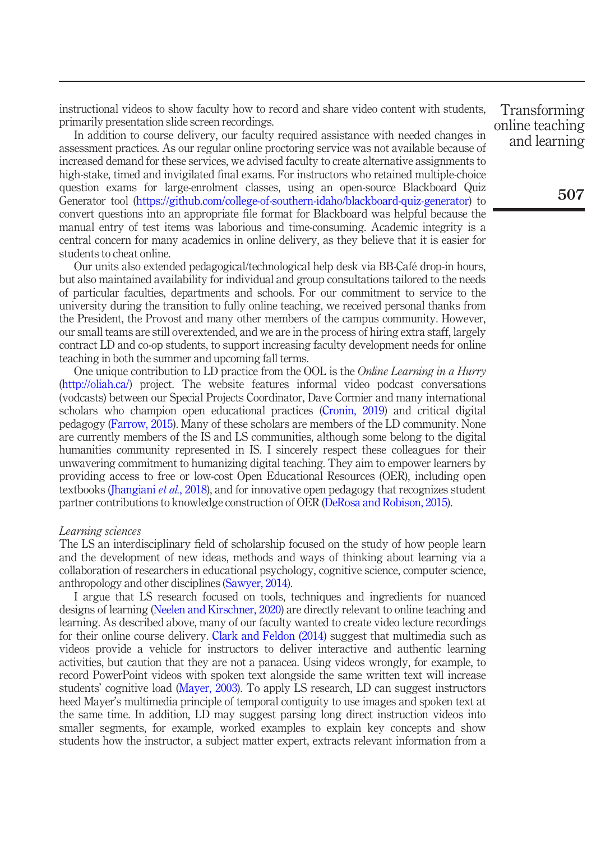instructional videos to show faculty how to record and share video content with students, primarily presentation slide screen recordings.

In addition to course delivery, our faculty required assistance with needed changes in assessment practices. As our regular online proctoring service was not available because of increased demand for these services, we advised faculty to create alternative assignments to high-stake, timed and invigilated final exams. For instructors who retained multiple-choice question exams for large-enrolment classes, using an open-source Blackboard Quiz Generator tool [\(https://github.com/college-of-southern-idaho/blackboard-quiz-generator](https://github.com/college-of-southern-idaho/blackboard-quiz-generator)) to convert questions into an appropriate file format for Blackboard was helpful because the manual entry of test items was laborious and time-consuming. Academic integrity is a central concern for many academics in online delivery, as they believe that it is easier for students to cheat online.

Our units also extended pedagogical/technological help desk via BB-Café drop-in hours, but also maintained availability for individual and group consultations tailored to the needs of particular faculties, departments and schools. For our commitment to service to the university during the transition to fully online teaching, we received personal thanks from the President, the Provost and many other members of the campus community. However, our small teams are still overextended, and we are in the process of hiring extra staff, largely contract LD and co-op students, to support increasing faculty development needs for online teaching in both the summer and upcoming fall terms.

One unique contribution to LD practice from the OOL is the Online Learning in a Hurry [\(http://oliah.ca/\)](http://oliah.ca/) project. The website features informal video podcast conversations (vodcasts) between our Special Projects Coordinator, Dave Cormier and many international scholars who champion open educational practices ([Cronin, 2019\)](#page-7-5) and critical digital pedagogy [\(Farrow, 2015\)](#page-7-6). Many of these scholars are members of the LD community. None are currently members of the IS and LS communities, although some belong to the digital humanities community represented in IS. I sincerely respect these colleagues for their unwavering commitment to humanizing digital teaching. They aim to empower learners by providing access to free or low-cost Open Educational Resources (OER), including open textbooks ([Jhangiani](#page-7-7) et al., 2018), and for innovative open pedagogy that recognizes student partner contributions to knowledge construction of OER ([DeRosa and Robison, 2015\)](#page-7-8).

#### Learning sciences

The LS an interdisciplinary field of scholarship focused on the study of how people learn and the development of new ideas, methods and ways of thinking about learning via a collaboration of researchers in educational psychology, cognitive science, computer science, anthropology and other disciplines ([Sawyer, 2014](#page-8-4)).

I argue that LS research focused on tools, techniques and ingredients for nuanced designs of learning [\(Neelen and Kirschner, 2020](#page-8-0)) are directly relevant to online teaching and learning. As described above, many of our faculty wanted to create video lecture recordings for their online course delivery. [Clark and Feldon \(2014\)](#page-7-9) suggest that multimedia such as videos provide a vehicle for instructors to deliver interactive and authentic learning activities, but caution that they are not a panacea. Using videos wrongly, for example, to record PowerPoint videos with spoken text alongside the same written text will increase students' cognitive load ([Mayer, 2003\)](#page-8-5). To apply LS research, LD can suggest instructors heed Mayer's multimedia principle of temporal contiguity to use images and spoken text at the same time. In addition, LD may suggest parsing long direct instruction videos into smaller segments, for example, worked examples to explain key concepts and show students how the instructor, a subject matter expert, extracts relevant information from a

Transforming online teaching and learning

507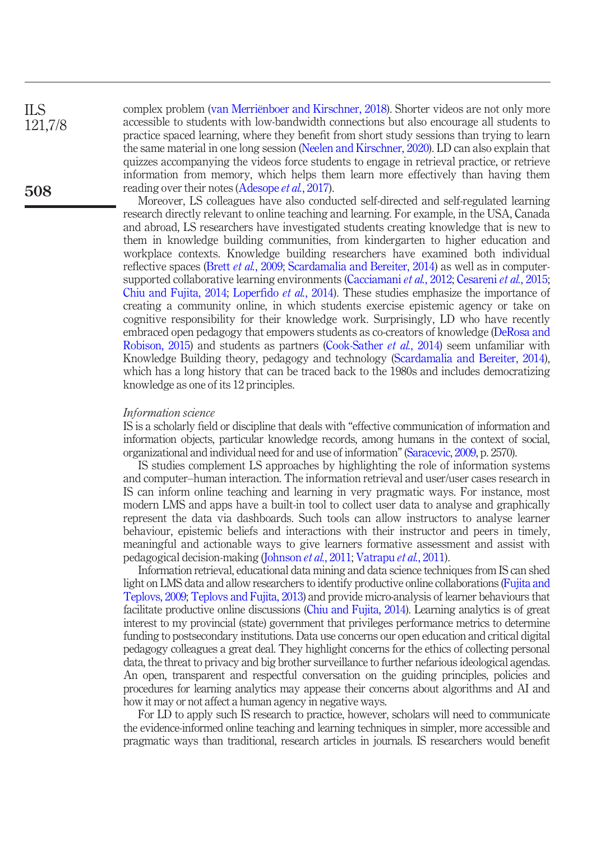ILS

121,7/8

508

complex problem ([van Merriënboer and Kirschner, 2018\)](#page-8-6). Shorter videos are not only more accessible to students with low-bandwidth connections but also encourage all students to practice spaced learning, where they benefit from short study sessions than trying to learn the same material in one long session [\(Neelen and Kirschner, 2020\)](#page-8-0). LD can also explain that quizzes accompanying the videos force students to engage in retrieval practice, or retrieve information from memory, which helps them learn more effectively than having them reading over their notes ([Adesope](#page-6-2) *et al.*, 2017).

Moreover, LS colleagues have also conducted self-directed and self-regulated learning research directly relevant to online teaching and learning. For example, in the USA, Canada and abroad, LS researchers have investigated students creating knowledge that is new to them in knowledge building communities, from kindergarten to higher education and workplace contexts. Knowledge building researchers have examined both individual reflective spaces (Brett et al.[, 2009;](#page-7-10) [Scardamalia and Bereiter, 2014\)](#page-8-7) as well as in computersupported collaborative learning environments ([Cacciamani](#page-7-11) et al., 2012; [Cesareni](#page-7-12) et al., 2015; [Chiu and Fujita, 2014](#page-7-13); Loperfido et al.[, 2014\)](#page-8-8). These studies emphasize the importance of creating a community online, in which students exercise epistemic agency or take on cognitive responsibility for their knowledge work. Surprisingly, LD who have recently embraced open pedagogy that empowers students as co-creators of knowledge ([DeRosa and](#page-7-8) [Robison, 2015\)](#page-7-8) and students as partners ([Cook-Sather](#page-7-14) et al., 2014) seem unfamiliar with Knowledge Building theory, pedagogy and technology [\(Scardamalia and Bereiter, 2014\)](#page-8-7), which has a long history that can be traced back to the 1980s and includes democratizing knowledge as one of its 12 principles.

## Information science

IS is a scholarly field or discipline that deals with "effective communication of information and information objects, particular knowledge records, among humans in the context of social, organizational and individual need for and use of information"[\(Saracevic, 2009](#page-8-9), p. 2570).

IS studies complement LS approaches by highlighting the role of information systems and computer–human interaction. The information retrieval and user/user cases research in IS can inform online teaching and learning in very pragmatic ways. For instance, most modern LMS and apps have a built-in tool to collect user data to analyse and graphically represent the data via dashboards. Such tools can allow instructors to analyse learner behaviour, epistemic beliefs and interactions with their instructor and peers in timely, meaningful and actionable ways to give learners formative assessment and assist with pedagogical decision-making ([Johnson](#page-7-15) et al., 2011; [Vatrapu](#page-8-10) et al., 2011).

Information retrieval, educational data mining and data science techniques from IS can shed light on LMS data and allow researchers to identify productive online collaborations ([Fujita and](#page-7-16) [Teplovs, 2009;](#page-7-16) [Teplovs and Fujita, 2013](#page-8-11)) and provide micro-analysis of learner behaviours that facilitate productive online discussions [\(Chiu and Fujita, 2014](#page-7-13)). Learning analytics is of great interest to my provincial (state) government that privileges performance metrics to determine funding to postsecondary institutions. Data use concerns our open education and critical digital pedagogy colleagues a great deal. They highlight concerns for the ethics of collecting personal data, the threat to privacy and big brother surveillance to further nefarious ideological agendas. An open, transparent and respectful conversation on the guiding principles, policies and procedures for learning analytics may appease their concerns about algorithms and AI and how it may or not affect a human agency in negative ways.

For LD to apply such IS research to practice, however, scholars will need to communicate the evidence-informed online teaching and learning techniques in simpler, more accessible and pragmatic ways than traditional, research articles in journals. IS researchers would benefit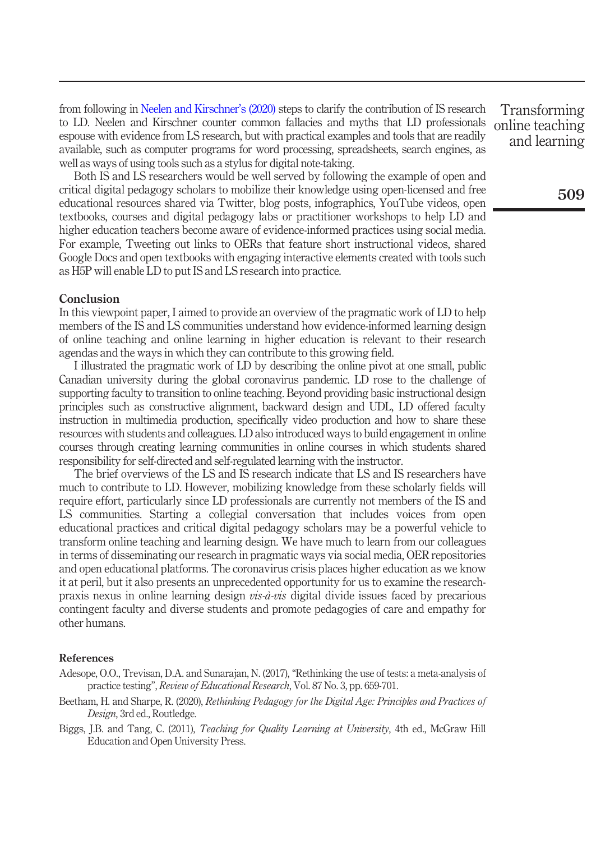from following in [Neelen and Kirschner](#page-8-0)'s (2020) steps to clarify the contribution of IS research to LD. Neelen and Kirschner counter common fallacies and myths that LD professionals espouse with evidence from LS research, but with practical examples and tools that are readily available, such as computer programs for word processing, spreadsheets, search engines, as well as ways of using tools such as a stylus for digital note-taking.

Both IS and LS researchers would be well served by following the example of open and critical digital pedagogy scholars to mobilize their knowledge using open-licensed and free educational resources shared via Twitter, blog posts, infographics, YouTube videos, open textbooks, courses and digital pedagogy labs or practitioner workshops to help LD and higher education teachers become aware of evidence-informed practices using social media. For example, Tweeting out links to OERs that feature short instructional videos, shared Google Docs and open textbooks with engaging interactive elements created with tools such as H5P will enable LD to put IS and LS research into practice.

# Conclusion

In this viewpoint paper, I aimed to provide an overview of the pragmatic work of LD to help members of the IS and LS communities understand how evidence-informed learning design of online teaching and online learning in higher education is relevant to their research agendas and the ways in which they can contribute to this growing field.

I illustrated the pragmatic work of LD by describing the online pivot at one small, public Canadian university during the global coronavirus pandemic. LD rose to the challenge of supporting faculty to transition to online teaching. Beyond providing basic instructional design principles such as constructive alignment, backward design and UDL, LD offered faculty instruction in multimedia production, specifically video production and how to share these resources with students and colleagues. LD also introduced ways to build engagement in online courses through creating learning communities in online courses in which students shared responsibility for self-directed and self-regulated learning with the instructor.

The brief overviews of the LS and IS research indicate that LS and IS researchers have much to contribute to LD. However, mobilizing knowledge from these scholarly fields will require effort, particularly since LD professionals are currently not members of the IS and LS communities. Starting a collegial conversation that includes voices from open educational practices and critical digital pedagogy scholars may be a powerful vehicle to transform online teaching and learning design. We have much to learn from our colleagues in terms of disseminating our research in pragmatic ways via social media, OER repositories and open educational platforms. The coronavirus crisis places higher education as we know it at peril, but it also presents an unprecedented opportunity for us to examine the researchpraxis nexus in online learning design *vis-à-vis* digital divide issues faced by precarious contingent faculty and diverse students and promote pedagogies of care and empathy for other humans.

## References

<span id="page-6-2"></span>Adesope, O.O., Trevisan, D.A. and Sunarajan, N. (2017), "Rethinking the use of tests: a meta-analysis of practice testing", Review of Educational Research, Vol. 87 No. 3, pp. 659-701.

- <span id="page-6-0"></span>Beetham, H. and Sharpe, R. (2020), Rethinking Pedagogy for the Digital Age: Principles and Practices of Design, 3rd ed., Routledge.
- <span id="page-6-1"></span>Biggs, J.B. and Tang, C. (2011), Teaching for Quality Learning at University, 4th ed., McGraw Hill Education and Open University Press.

Transforming online teaching and learning

509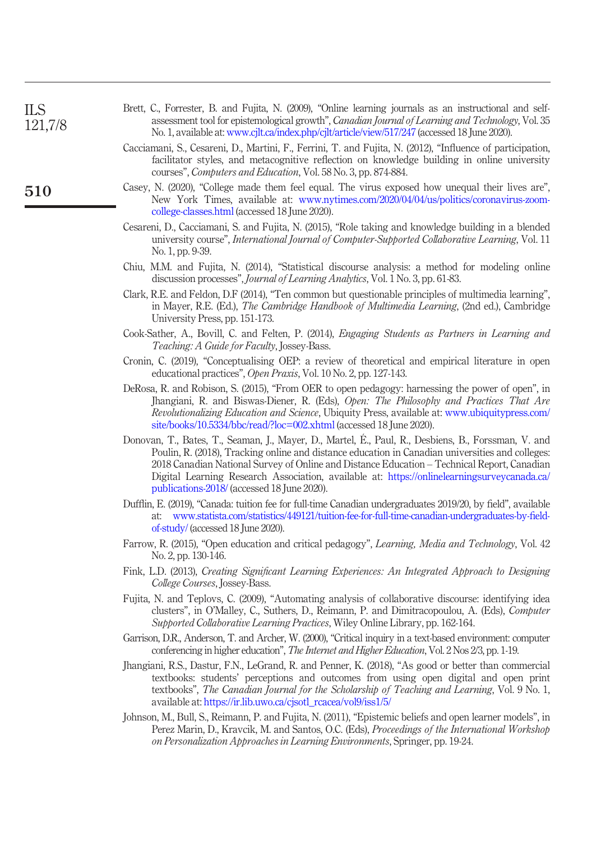<span id="page-7-16"></span><span id="page-7-15"></span><span id="page-7-14"></span><span id="page-7-13"></span><span id="page-7-12"></span><span id="page-7-11"></span><span id="page-7-10"></span><span id="page-7-9"></span><span id="page-7-8"></span><span id="page-7-7"></span><span id="page-7-6"></span><span id="page-7-5"></span><span id="page-7-4"></span><span id="page-7-3"></span><span id="page-7-2"></span><span id="page-7-1"></span><span id="page-7-0"></span>

| <b>ILS</b><br>121,7/8 | Brett, C., Forrester, B. and Fujita, N. (2009), "Online learning journals as an instructional and self-<br>assessment tool for epistemological growth", Canadian Journal of Learning and Technology, Vol. 35                                                                                                                                                                                                                                         |
|-----------------------|------------------------------------------------------------------------------------------------------------------------------------------------------------------------------------------------------------------------------------------------------------------------------------------------------------------------------------------------------------------------------------------------------------------------------------------------------|
|                       | No. 1, available at: www.cjlt.ca/index.php/cjlt/article/view/517/247 (accessed 18 June 2020).<br>Cacciamani, S., Cesareni, D., Martini, F., Ferrini, T. and Fujita, N. (2012), "Influence of participation,<br>facilitator styles, and metacognitive reflection on knowledge building in online university<br>courses", <i>Computers and Education</i> , Vol. 58 No. 3, pp. 874-884.                                                                 |
| 510                   | Casey, N. (2020), "College made them feel equal. The virus exposed how unequal their lives are",<br>New York Times, available at: www.nytimes.com/2020/04/04/us/politics/coronavirus-zoom-<br>college-classes.html (accessed 18 June 2020).                                                                                                                                                                                                          |
|                       | Cesareni, D., Cacciamani, S. and Fujita, N. (2015), "Role taking and knowledge building in a blended<br>university course", International Journal of Computer-Supported Collaborative Learning, Vol. 11<br>No. 1, pp. 9-39.                                                                                                                                                                                                                          |
|                       | Chiu, M.M. and Fujita, N. (2014), "Statistical discourse analysis: a method for modeling online<br>discussion processes", <i>Journal of Learning Analytics</i> , Vol. 1 No. 3, pp. 61-83.                                                                                                                                                                                                                                                            |
|                       | Clark, R.E. and Feldon, D.F (2014), "Ten common but questionable principles of multimedia learning",<br>in Mayer, R.E. (Ed.), The Cambridge Handbook of Multimedia Learning, (2nd ed.), Cambridge<br>University Press, pp. 151-173.                                                                                                                                                                                                                  |
|                       | Cook-Sather, A., Bovill, C. and Felten, P. (2014), Engaging Students as Partners in Learning and<br><i>Teaching: A Guide for Faculty, Jossey-Bass.</i>                                                                                                                                                                                                                                                                                               |
|                       | Cronin, C. (2019), "Conceptualising OEP: a review of theoretical and empirical literature in open<br>educational practices", Open Praxis, Vol. 10 No. 2, pp. 127-143.                                                                                                                                                                                                                                                                                |
|                       | DeRosa, R. and Robison, S. (2015), "From OER to open pedagogy: harnessing the power of open", in<br>Jhangiani, R. and Biswas-Diener, R. (Eds), Open: The Philosophy and Practices That Are<br>Revolutionalizing Education and Science, Ubiquity Press, available at: www.ubiquitypress.com/<br>site/books/10.5334/bbc/read/?loc=002.xhtml (accessed 18 June 2020).                                                                                   |
|                       | Donovan, T., Bates, T., Seaman, J., Mayer, D., Martel, É., Paul, R., Desbiens, B., Forssman, V. and<br>Poulin, R. (2018), Tracking online and distance education in Canadian universities and colleges:<br>2018 Canadian National Survey of Online and Distance Education - Technical Report, Canadian<br>Digital Learning Research Association, available at: https://onlinelearningsurveycanada.ca/<br>publications-2018/ (accessed 18 June 2020). |
|                       | Dufflin, E. (2019), "Canada: tuition fee for full-time Canadian undergraduates 2019/20, by field", available<br>at: www.statista.com/statistics/449121/tuition-fee-for-full-time-canadian-undergraduates-by-field-<br>of-study/ (accessed 18 June 2020).                                                                                                                                                                                             |
|                       | Farrow, R. (2015), "Open education and critical pedagogy", Learning, Media and Technology, Vol. 42<br>No. 2, pp. 130-146.                                                                                                                                                                                                                                                                                                                            |
|                       | Fink, L.D. (2013), Creating Significant Learning Experiences: An Integrated Approach to Designing<br>College Courses, Jossey-Bass.                                                                                                                                                                                                                                                                                                                   |
|                       | Fujita, N. and Teplovs, C. (2009), "Automating analysis of collaborative discourse: identifying idea<br>clusters", in O'Malley, C., Suthers, D., Reimann, P. and Dimitracopoulou, A. (Eds), Computer<br>Supported Collaborative Learning Practices, Wiley Online Library, pp. 162-164.                                                                                                                                                               |
|                       | Garrison, D.R., Anderson, T. and Archer, W. (2000), "Critical inquiry in a text-based environment: computer<br>conferencing in higher education", The Internet and Higher Education, Vol. 2 Nos 2/3, pp. 1-19.                                                                                                                                                                                                                                       |
|                       | Jhangiani, R.S., Dastur, F.N., LeGrand, R. and Penner, K. (2018), "As good or better than commercial<br>textbooks: students' perceptions and outcomes from using open digital and open print<br>textbooks", The Canadian Journal for the Scholarship of Teaching and Learning, Vol. 9 No. 1,<br>available at: https://ir.lib.uwo.ca/cjsotl_rcacea/vol9/iss1/5/                                                                                       |
|                       | Johnson, M., Bull, S., Reimann, P. and Fujita, N. (2011), "Epistemic beliefs and open learner models", in<br>Perez Marin, D., Kravcik, M. and Santos, O.C. (Eds), Proceedings of the International Workshop<br>on Personalization Approaches in Learning Environments, Springer, pp. 19-24.                                                                                                                                                          |
|                       |                                                                                                                                                                                                                                                                                                                                                                                                                                                      |